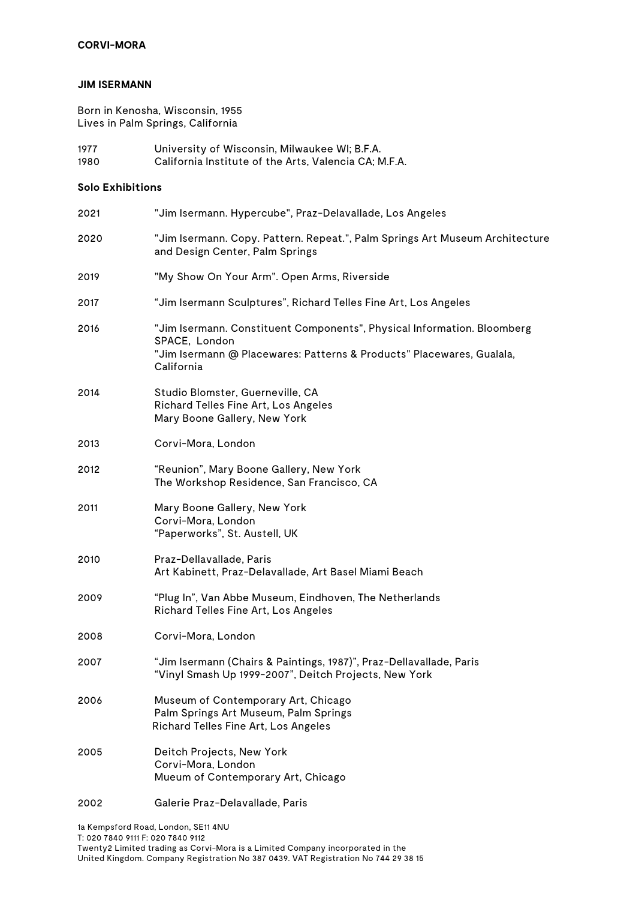## **CORVI-MORA**

#### **JIM ISERMANN**

Born in Kenosha, Wisconsin, 1955 Lives in Palm Springs, California

1977 University of Wisconsin, Milwaukee WI; B.F.A. California Institute of the Arts, Valencia CA; M.F.A.

#### **Solo Exhibitions**

| 2021 | "Jim Isermann. Hypercube", Praz-Delavallade, Los Angeles                                                                                                                        |
|------|---------------------------------------------------------------------------------------------------------------------------------------------------------------------------------|
| 2020 | "Jim Isermann. Copy. Pattern. Repeat.", Palm Springs Art Museum Architecture<br>and Design Center, Palm Springs                                                                 |
| 2019 | "My Show On Your Arm". Open Arms, Riverside                                                                                                                                     |
| 2017 | "Jim Isermann Sculptures", Richard Telles Fine Art, Los Angeles                                                                                                                 |
| 2016 | "Jim Isermann. Constituent Components", Physical Information. Bloomberg<br>SPACE, London<br>"Jim Isermann @ Placewares: Patterns & Products" Placewares, Gualala,<br>California |
| 2014 | Studio Blomster, Guerneville, CA<br>Richard Telles Fine Art, Los Angeles<br>Mary Boone Gallery, New York                                                                        |
| 2013 | Corvi-Mora, London                                                                                                                                                              |
| 2012 | "Reunion", Mary Boone Gallery, New York<br>The Workshop Residence, San Francisco, CA                                                                                            |
| 2011 | Mary Boone Gallery, New York<br>Corvi-Mora, London<br>"Paperworks", St. Austell, UK                                                                                             |
| 2010 | Praz-Dellavallade, Paris<br>Art Kabinett, Praz-Delavallade, Art Basel Miami Beach                                                                                               |
| 2009 | "Plug In", Van Abbe Museum, Eindhoven, The Netherlands<br>Richard Telles Fine Art, Los Angeles                                                                                  |
| 2008 | Corvi-Mora, London                                                                                                                                                              |
| 2007 | "Jim Isermann (Chairs & Paintings, 1987)", Praz-Dellavallade, Paris<br>"Vinyl Smash Up 1999-2007", Deitch Projects, New York                                                    |
| 2006 | Museum of Contemporary Art, Chicago<br>Palm Springs Art Museum, Palm Springs<br>Richard Telles Fine Art, Los Angeles                                                            |
| 2005 | Deitch Projects, New York<br>Corvi-Mora, London<br>Mueum of Contemporary Art, Chicago                                                                                           |
| 2002 | Galerie Praz-Delavallade, Paris                                                                                                                                                 |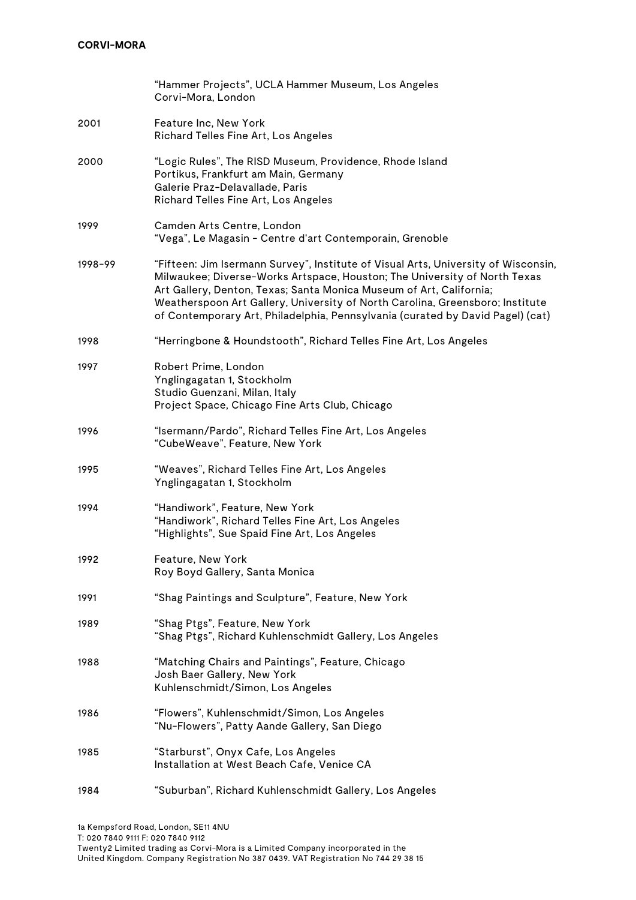|         | "Hammer Projects", UCLA Hammer Museum, Los Angeles<br>Corvi-Mora, London                                                                                                                                                                                                                                                                                                                                  |
|---------|-----------------------------------------------------------------------------------------------------------------------------------------------------------------------------------------------------------------------------------------------------------------------------------------------------------------------------------------------------------------------------------------------------------|
| 2001    | Feature Inc, New York<br>Richard Telles Fine Art, Los Angeles                                                                                                                                                                                                                                                                                                                                             |
| 2000    | "Logic Rules", The RISD Museum, Providence, Rhode Island<br>Portikus, Frankfurt am Main, Germany<br>Galerie Praz-Delavallade, Paris<br>Richard Telles Fine Art, Los Angeles                                                                                                                                                                                                                               |
| 1999    | Camden Arts Centre, London<br>"Vega", Le Magasin - Centre d'art Contemporain, Grenoble                                                                                                                                                                                                                                                                                                                    |
| 1998-99 | "Fifteen: Jim Isermann Survey", Institute of Visual Arts, University of Wisconsin,<br>Milwaukee; Diverse-Works Artspace, Houston; The University of North Texas<br>Art Gallery, Denton, Texas; Santa Monica Museum of Art, California;<br>Weatherspoon Art Gallery, University of North Carolina, Greensboro; Institute<br>of Contemporary Art, Philadelphia, Pennsylvania (curated by David Pagel) (cat) |
| 1998    | "Herringbone & Houndstooth", Richard Telles Fine Art, Los Angeles                                                                                                                                                                                                                                                                                                                                         |
| 1997    | Robert Prime, London<br>Ynglingagatan 1, Stockholm<br>Studio Guenzani, Milan, Italy<br>Project Space, Chicago Fine Arts Club, Chicago                                                                                                                                                                                                                                                                     |
| 1996    | "Isermann/Pardo", Richard Telles Fine Art, Los Angeles<br>"CubeWeave", Feature, New York                                                                                                                                                                                                                                                                                                                  |
| 1995    | "Weaves", Richard Telles Fine Art, Los Angeles<br>Ynglingagatan 1, Stockholm                                                                                                                                                                                                                                                                                                                              |
| 1994    | "Handiwork", Feature, New York<br>"Handiwork", Richard Telles Fine Art, Los Angeles<br>"Highlights", Sue Spaid Fine Art, Los Angeles                                                                                                                                                                                                                                                                      |
| 1992    | Feature, New York<br>Roy Boyd Gallery, Santa Monica                                                                                                                                                                                                                                                                                                                                                       |
| 1991    | "Shag Paintings and Sculpture", Feature, New York                                                                                                                                                                                                                                                                                                                                                         |
| 1989    | "Shag Ptgs", Feature, New York<br>"Shag Ptgs", Richard Kuhlenschmidt Gallery, Los Angeles                                                                                                                                                                                                                                                                                                                 |
| 1988    | "Matching Chairs and Paintings", Feature, Chicago<br>Josh Baer Gallery, New York<br>Kuhlenschmidt/Simon, Los Angeles                                                                                                                                                                                                                                                                                      |
| 1986    | "Flowers", Kuhlenschmidt/Simon, Los Angeles<br>"Nu-Flowers", Patty Aande Gallery, San Diego                                                                                                                                                                                                                                                                                                               |
| 1985    | "Starburst", Onyx Cafe, Los Angeles<br>Installation at West Beach Cafe, Venice CA                                                                                                                                                                                                                                                                                                                         |
| 1984    | "Suburban", Richard Kuhlenschmidt Gallery, Los Angeles                                                                                                                                                                                                                                                                                                                                                    |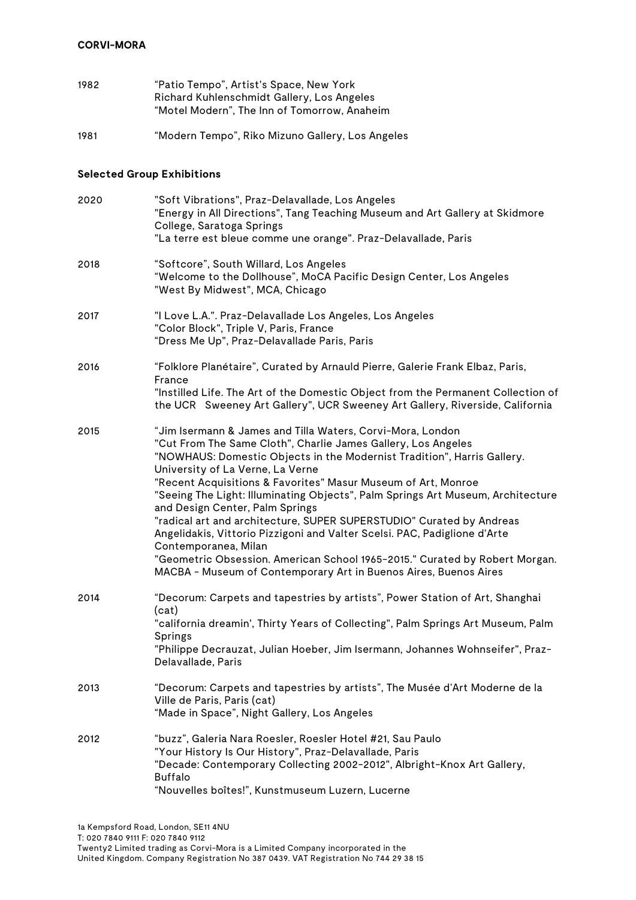| 1982                              | "Patio Tempo", Artist's Space, New York<br>Richard Kuhlenschmidt Gallery, Los Angeles<br>"Motel Modern", The Inn of Tomorrow, Anaheim                                                                                                                                                                                                                                                                                                                                                                                                                                                                                                                                                                                                                             |
|-----------------------------------|-------------------------------------------------------------------------------------------------------------------------------------------------------------------------------------------------------------------------------------------------------------------------------------------------------------------------------------------------------------------------------------------------------------------------------------------------------------------------------------------------------------------------------------------------------------------------------------------------------------------------------------------------------------------------------------------------------------------------------------------------------------------|
| 1981                              | "Modern Tempo", Riko Mizuno Gallery, Los Angeles                                                                                                                                                                                                                                                                                                                                                                                                                                                                                                                                                                                                                                                                                                                  |
| <b>Selected Group Exhibitions</b> |                                                                                                                                                                                                                                                                                                                                                                                                                                                                                                                                                                                                                                                                                                                                                                   |
| 2020                              | "Soft Vibrations", Praz-Delavallade, Los Angeles<br>"Energy in All Directions", Tang Teaching Museum and Art Gallery at Skidmore<br>College, Saratoga Springs<br>"La terre est bleue comme une orange". Praz-Delavallade, Paris                                                                                                                                                                                                                                                                                                                                                                                                                                                                                                                                   |
| 2018                              | "Softcore", South Willard, Los Angeles<br>"Welcome to the Dollhouse", MoCA Pacific Design Center, Los Angeles<br>"West By Midwest", MCA, Chicago                                                                                                                                                                                                                                                                                                                                                                                                                                                                                                                                                                                                                  |
| 2017                              | "I Love L.A.". Praz-Delavallade Los Angeles, Los Angeles<br>"Color Block", Triple V, Paris, France<br>"Dress Me Up", Praz-Delavallade Paris, Paris                                                                                                                                                                                                                                                                                                                                                                                                                                                                                                                                                                                                                |
| 2016                              | "Folklore Planétaire", Curated by Arnauld Pierre, Galerie Frank Elbaz, Paris,<br>France<br>"Instilled Life. The Art of the Domestic Object from the Permanent Collection of<br>the UCR Sweeney Art Gallery", UCR Sweeney Art Gallery, Riverside, California                                                                                                                                                                                                                                                                                                                                                                                                                                                                                                       |
| 2015                              | "Jim Isermann & James and Tilla Waters, Corvi-Mora, London<br>"Cut From The Same Cloth", Charlie James Gallery, Los Angeles<br>"NOWHAUS: Domestic Objects in the Modernist Tradition", Harris Gallery.<br>University of La Verne, La Verne<br>"Recent Acquisitions & Favorites" Masur Museum of Art, Monroe<br>"Seeing The Light: Illuminating Objects", Palm Springs Art Museum, Architecture<br>and Design Center, Palm Springs<br>"radical art and architecture, SUPER SUPERSTUDIO" Curated by Andreas<br>Angelidakis, Vittorio Pizzigoni and Valter Scelsi. PAC, Padiglione d'Arte<br>Contemporanea, Milan<br>"Geometric Obsession. American School 1965-2015." Curated by Robert Morgan.<br>MACBA - Museum of Contemporary Art in Buenos Aires, Buenos Aires |
| 2014                              | "Decorum: Carpets and tapestries by artists", Power Station of Art, Shanghai<br>(cat)<br>"california dreamin', Thirty Years of Collecting", Palm Springs Art Museum, Palm<br>Springs<br>"Philippe Decrauzat, Julian Hoeber, Jim Isermann, Johannes Wohnseifer", Praz-<br>Delavallade, Paris                                                                                                                                                                                                                                                                                                                                                                                                                                                                       |
| 2013                              | "Decorum: Carpets and tapestries by artists", The Musée d'Art Moderne de la<br>Ville de Paris, Paris (cat)<br>"Made in Space", Night Gallery, Los Angeles                                                                                                                                                                                                                                                                                                                                                                                                                                                                                                                                                                                                         |
| 2012                              | "buzz", Galeria Nara Roesler, Roesler Hotel #21, Sau Paulo<br>"Your History Is Our History", Praz-Delavallade, Paris<br>"Decade: Contemporary Collecting 2002-2012", Albright-Knox Art Gallery,<br><b>Buffalo</b><br>"Nouvelles boîtes!", Kunstmuseum Luzern, Lucerne                                                                                                                                                                                                                                                                                                                                                                                                                                                                                             |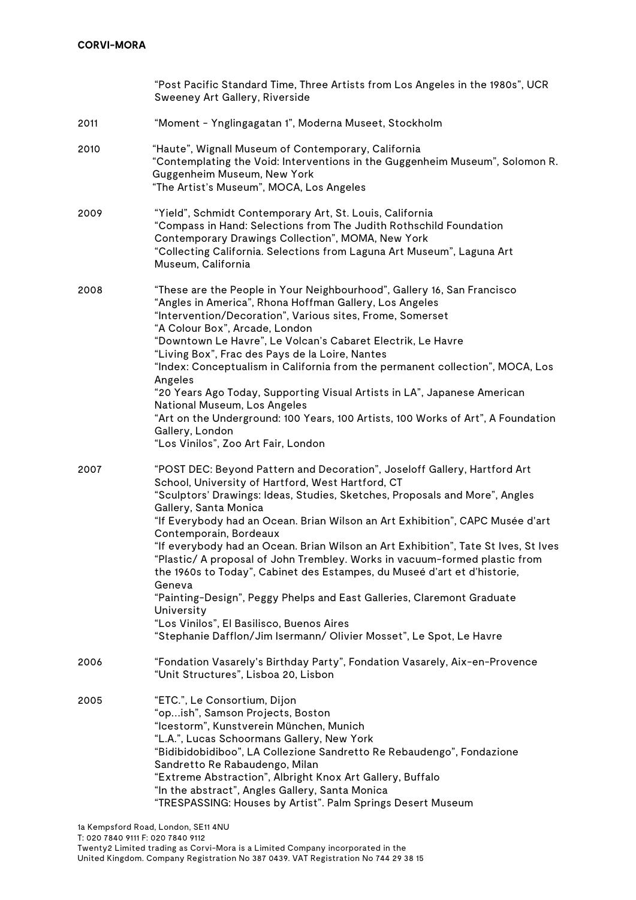|      | "Post Pacific Standard Time, Three Artists from Los Angeles in the 1980s", UCR<br>Sweeney Art Gallery, Riverside                                                                                                                                                                                                                                                                                                                                                                                                                                                                                                                                                                                                                                                                                                        |
|------|-------------------------------------------------------------------------------------------------------------------------------------------------------------------------------------------------------------------------------------------------------------------------------------------------------------------------------------------------------------------------------------------------------------------------------------------------------------------------------------------------------------------------------------------------------------------------------------------------------------------------------------------------------------------------------------------------------------------------------------------------------------------------------------------------------------------------|
| 2011 | "Moment - Ynglingagatan 1", Moderna Museet, Stockholm                                                                                                                                                                                                                                                                                                                                                                                                                                                                                                                                                                                                                                                                                                                                                                   |
| 2010 | "Haute", Wignall Museum of Contemporary, California<br>"Contemplating the Void: Interventions in the Guggenheim Museum", Solomon R.<br>Guggenheim Museum, New York<br>"The Artist's Museum", MOCA, Los Angeles                                                                                                                                                                                                                                                                                                                                                                                                                                                                                                                                                                                                          |
| 2009 | "Yield", Schmidt Contemporary Art, St. Louis, California<br>"Compass in Hand: Selections from The Judith Rothschild Foundation<br>Contemporary Drawings Collection", MOMA, New York<br>"Collecting California. Selections from Laguna Art Museum", Laguna Art<br>Museum, California                                                                                                                                                                                                                                                                                                                                                                                                                                                                                                                                     |
| 2008 | "These are the People in Your Neighbourhood", Gallery 16, San Francisco<br>"Angles in America", Rhona Hoffman Gallery, Los Angeles<br>"Intervention/Decoration", Various sites, Frome, Somerset<br>"A Colour Box", Arcade, London<br>"Downtown Le Havre", Le Volcan's Cabaret Electrik, Le Havre<br>"Living Box", Frac des Pays de la Loire, Nantes<br>"Index: Conceptualism in California from the permanent collection", MOCA, Los<br>Angeles<br>"20 Years Ago Today, Supporting Visual Artists in LA", Japanese American<br>National Museum, Los Angeles<br>"Art on the Underground: 100 Years, 100 Artists, 100 Works of Art", A Foundation<br>Gallery, London<br>"Los Vinilos", Zoo Art Fair, London                                                                                                               |
| 2007 | "POST DEC: Beyond Pattern and Decoration", Joseloff Gallery, Hartford Art<br>School, University of Hartford, West Hartford, CT<br>"Sculptors' Drawings: Ideas, Studies, Sketches, Proposals and More", Angles<br>Gallery, Santa Monica<br>"If Everybody had an Ocean. Brian Wilson an Art Exhibition", CAPC Musée d'art<br>Contemporain, Bordeaux<br>"If everybody had an Ocean. Brian Wilson an Art Exhibition", Tate St Ives, St Ives<br>"Plastic/ A proposal of John Trembley. Works in vacuum-formed plastic from<br>the 1960s to Today", Cabinet des Estampes, du Museé d'art et d'historie,<br>Geneva<br>"Painting-Design", Peggy Phelps and East Galleries, Claremont Graduate<br>University<br>"Los Vinilos", El Basilisco, Buenos Aires<br>"Stephanie Dafflon/Jim Isermann/ Olivier Mosset", Le Spot, Le Havre |
| 2006 | "Fondation Vasarely's Birthday Party", Fondation Vasarely, Aix-en-Provence<br>"Unit Structures", Lisboa 20, Lisbon                                                                                                                                                                                                                                                                                                                                                                                                                                                                                                                                                                                                                                                                                                      |
| 2005 | "ETC.", Le Consortium, Dijon<br>"opish", Samson Projects, Boston<br>"Icestorm", Kunstverein München, Munich<br>"L.A.", Lucas Schoormans Gallery, New York<br>"Bidibidobidiboo", LA Collezione Sandretto Re Rebaudengo", Fondazione<br>Sandretto Re Rabaudengo, Milan<br>"Extreme Abstraction", Albright Knox Art Gallery, Buffalo<br>"In the abstract", Angles Gallery, Santa Monica<br>"TRESPASSING: Houses by Artist". Palm Springs Desert Museum                                                                                                                                                                                                                                                                                                                                                                     |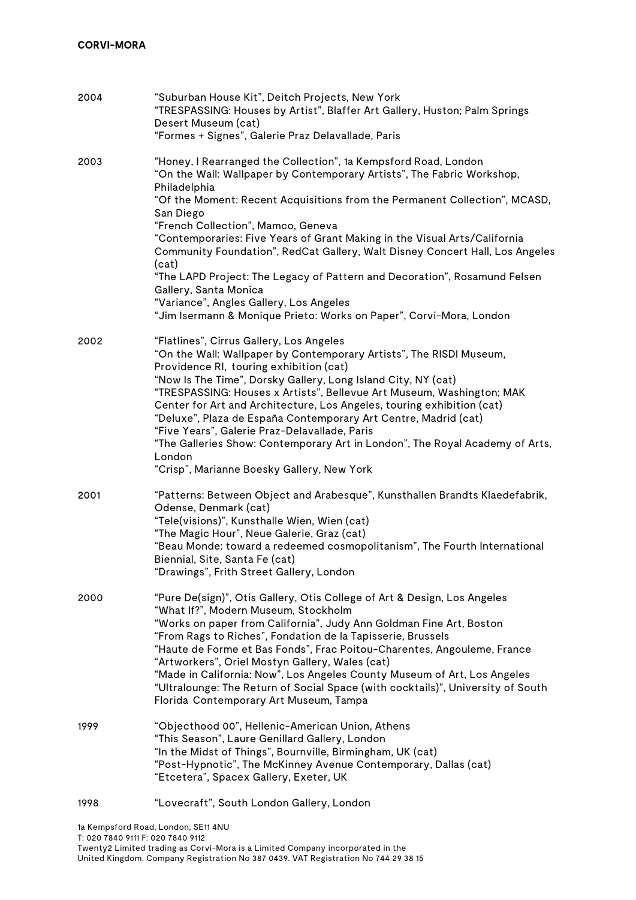| 2004 | "Suburban House Kit", Deitch Projects, New York<br>"TRESPASSING: Houses by Artist", Blaffer Art Gallery, Huston; Palm Springs<br>Desert Museum (cat)<br>"Formes + Signes", Galerie Praz Delavallade, Paris                                                                                                                                                                                                                                                                                                                                                                                                                                                                               |
|------|------------------------------------------------------------------------------------------------------------------------------------------------------------------------------------------------------------------------------------------------------------------------------------------------------------------------------------------------------------------------------------------------------------------------------------------------------------------------------------------------------------------------------------------------------------------------------------------------------------------------------------------------------------------------------------------|
| 2003 | "Honey, I Rearranged the Collection", 1a Kempsford Road, London<br>"On the Wall: Wallpaper by Contemporary Artists", The Fabric Workshop,<br>Philadelphia<br>"Of the Moment: Recent Acquisitions from the Permanent Collection", MCASD,<br>San Diego<br>"French Collection", Mamco, Geneva<br>"Contemporaries: Five Years of Grant Making in the Visual Arts/California<br>Community Foundation", RedCat Gallery, Walt Disney Concert Hall, Los Angeles<br>(cat)<br>"The LAPD Project: The Legacy of Pattern and Decoration", Rosamund Felsen<br>Gallery, Santa Monica<br>"Variance", Angles Gallery, Los Angeles<br>"Jim Isermann & Monique Prieto: Works on Paper", Corvi-Mora, London |
| 2002 | "Flatlines", Cirrus Gallery, Los Angeles<br>"On the Wall: Wallpaper by Contemporary Artists", The RISDI Museum,<br>Providence RI, touring exhibition (cat)<br>"Now Is The Time", Dorsky Gallery, Long Island City, NY (cat)<br>"TRESPASSING: Houses x Artists", Bellevue Art Museum, Washington; MAK<br>Center for Art and Architecture, Los Angeles, touring exhibition (cat)<br>"Deluxe", Plaza de España Contemporary Art Centre, Madrid (cat)<br>"Five Years", Galerie Praz-Delavallade, Paris<br>"The Galleries Show: Contemporary Art in London", The Royal Academy of Arts,<br>London<br>"Crisp", Marianne Boesky Gallery, New York                                               |
| 2001 | "Patterns: Between Object and Arabesque", Kunsthallen Brandts Klaedefabrik,<br>Odense, Denmark (cat)<br>"Tele(visions)", Kunsthalle Wien, Wien (cat)<br>"The Magic Hour", Neue Galerie, Graz (cat)<br>"Beau Monde: toward a redeemed cosmopolitanism", The Fourth International<br>Biennial, Site, Santa Fe (cat)<br>'Drawings", Frith Street Gallery, London                                                                                                                                                                                                                                                                                                                            |
| 2000 | "Pure De(sign)", Otis Gallery, Otis College of Art & Design, Los Angeles<br>"What If?", Modern Museum, Stockholm<br>"Works on paper from California", Judy Ann Goldman Fine Art, Boston<br>"From Rags to Riches", Fondation de la Tapisserie, Brussels<br>"Haute de Forme et Bas Fonds", Frac Poitou-Charentes, Angouleme, France<br>"Artworkers", Oriel Mostyn Gallery, Wales (cat)<br>"Made in California: Now", Los Angeles County Museum of Art, Los Angeles<br>"Ultralounge: The Return of Social Space (with cocktails)", University of South<br>Florida Contemporary Art Museum, Tampa                                                                                            |
| 1999 | "Objecthood 00", Hellenic-American Union, Athens<br>"This Season", Laure Genillard Gallery, London<br>"In the Midst of Things", Bournville, Birmingham, UK (cat)<br>"Post-Hypnotic", The McKinney Avenue Contemporary, Dallas (cat)<br>"Etcetera", Spacex Gallery, Exeter, UK                                                                                                                                                                                                                                                                                                                                                                                                            |
| 1998 | "Lovecraft", South London Gallery, London                                                                                                                                                                                                                                                                                                                                                                                                                                                                                                                                                                                                                                                |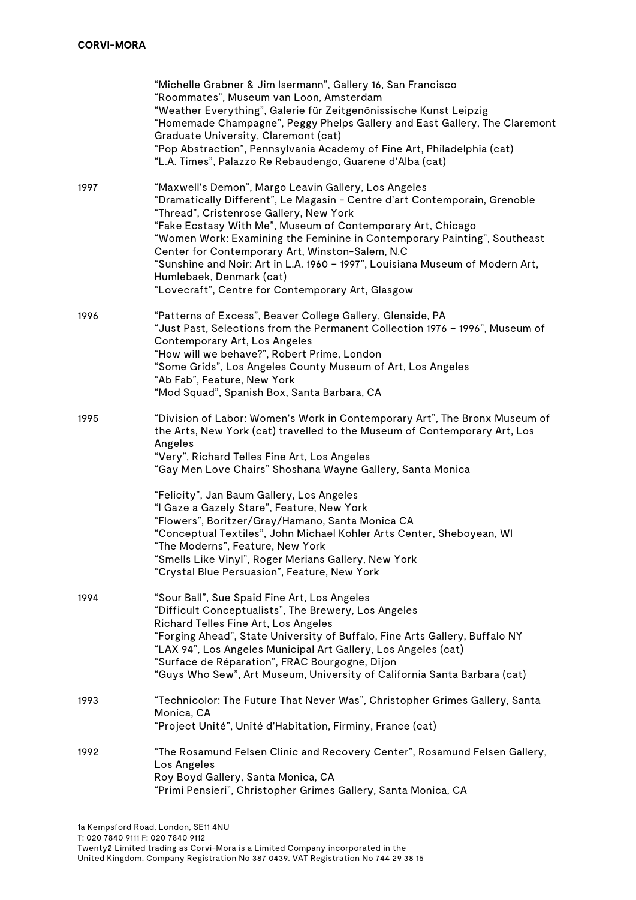|      | "Michelle Grabner & Jim Isermann", Gallery 16, San Francisco<br>"Roommates", Museum van Loon, Amsterdam<br>"Weather Everything", Galerie für Zeitgenönissische Kunst Leipzig<br>"Homemade Champagne", Peggy Phelps Gallery and East Gallery, The Claremont<br>Graduate University, Claremont (cat)<br>"Pop Abstraction", Pennsylvania Academy of Fine Art, Philadelphia (cat)<br>"L.A. Times", Palazzo Re Rebaudengo, Guarene d'Alba (cat)                                                                                                                                                                                                           |
|------|------------------------------------------------------------------------------------------------------------------------------------------------------------------------------------------------------------------------------------------------------------------------------------------------------------------------------------------------------------------------------------------------------------------------------------------------------------------------------------------------------------------------------------------------------------------------------------------------------------------------------------------------------|
| 1997 | "Maxwell's Demon", Margo Leavin Gallery, Los Angeles<br>"Dramatically Different", Le Magasin - Centre d'art Contemporain, Grenoble<br>"Thread", Cristenrose Gallery, New York<br>"Fake Ecstasy With Me", Museum of Contemporary Art, Chicago<br>"Women Work: Examining the Feminine in Contemporary Painting", Southeast<br>Center for Contemporary Art, Winston-Salem, N.C<br>"Sunshine and Noir: Art in L.A. 1960 - 1997", Louisiana Museum of Modern Art,<br>Humlebaek, Denmark (cat)<br>"Lovecraft", Centre for Contemporary Art, Glasgow                                                                                                        |
| 1996 | "Patterns of Excess", Beaver College Gallery, Glenside, PA<br>"Just Past, Selections from the Permanent Collection 1976 - 1996", Museum of<br>Contemporary Art, Los Angeles<br>"How will we behave?", Robert Prime, London<br>"Some Grids", Los Angeles County Museum of Art, Los Angeles<br>"Ab Fab", Feature, New York<br>"Mod Squad", Spanish Box, Santa Barbara, CA                                                                                                                                                                                                                                                                              |
| 1995 | "Division of Labor: Women's Work in Contemporary Art", The Bronx Museum of<br>the Arts, New York (cat) travelled to the Museum of Contemporary Art, Los<br>Angeles<br>"Very", Richard Telles Fine Art, Los Angeles<br>"Gay Men Love Chairs" Shoshana Wayne Gallery, Santa Monica<br>"Felicity", Jan Baum Gallery, Los Angeles<br>"I Gaze a Gazely Stare", Feature, New York<br>"Flowers", Boritzer/Gray/Hamano, Santa Monica CA<br>"Conceptual Textiles", John Michael Kohler Arts Center, Sheboyean, WI<br>"The Moderns", Feature, New York<br>"Smells Like Vinyl", Roger Merians Gallery, New York<br>"Crystal Blue Persuasion", Feature, New York |
| 1994 | "Sour Ball", Sue Spaid Fine Art, Los Angeles<br>"Difficult Conceptualists", The Brewery, Los Angeles<br>Richard Telles Fine Art, Los Angeles<br>"Forging Ahead", State University of Buffalo, Fine Arts Gallery, Buffalo NY<br>"LAX 94", Los Angeles Municipal Art Gallery, Los Angeles (cat)<br>"Surface de Réparation", FRAC Bourgogne, Dijon<br>"Guys Who Sew", Art Museum, University of California Santa Barbara (cat)                                                                                                                                                                                                                          |
| 1993 | "Technicolor: The Future That Never Was", Christopher Grimes Gallery, Santa<br>Monica, CA<br>"Project Unité", Unité d'Habitation, Firminy, France (cat)                                                                                                                                                                                                                                                                                                                                                                                                                                                                                              |
| 1992 | "The Rosamund Felsen Clinic and Recovery Center", Rosamund Felsen Gallery,<br>Los Angeles<br>Roy Boyd Gallery, Santa Monica, CA<br>"Primi Pensieri", Christopher Grimes Gallery, Santa Monica, CA                                                                                                                                                                                                                                                                                                                                                                                                                                                    |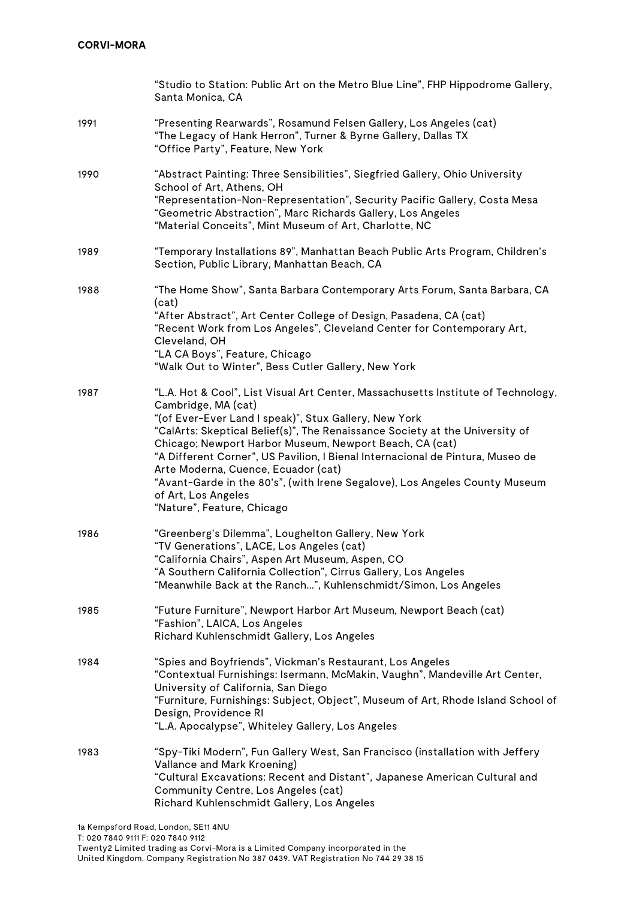|      | "Studio to Station: Public Art on the Metro Blue Line", FHP Hippodrome Gallery,<br>Santa Monica, CA                                                                                                                                                                                                                                                                                                                                                                                                                                                                       |
|------|---------------------------------------------------------------------------------------------------------------------------------------------------------------------------------------------------------------------------------------------------------------------------------------------------------------------------------------------------------------------------------------------------------------------------------------------------------------------------------------------------------------------------------------------------------------------------|
| 1991 | "Presenting Rearwards", Rosamund Felsen Gallery, Los Angeles (cat)<br>"The Legacy of Hank Herron", Turner & Byrne Gallery, Dallas TX<br>"Office Party", Feature, New York                                                                                                                                                                                                                                                                                                                                                                                                 |
| 1990 | "Abstract Painting: Three Sensibilities", Siegfried Gallery, Ohio University<br>School of Art, Athens, OH<br>"Representation-Non-Representation", Security Pacific Gallery, Costa Mesa<br>"Geometric Abstraction", Marc Richards Gallery, Los Angeles<br>"Material Conceits", Mint Museum of Art, Charlotte, NC                                                                                                                                                                                                                                                           |
| 1989 | "Temporary Installations 89", Manhattan Beach Public Arts Program, Children's<br>Section, Public Library, Manhattan Beach, CA                                                                                                                                                                                                                                                                                                                                                                                                                                             |
| 1988 | "The Home Show", Santa Barbara Contemporary Arts Forum, Santa Barbara, CA<br>(cat)<br>"After Abstract", Art Center College of Design, Pasadena, CA (cat)<br>"Recent Work from Los Angeles", Cleveland Center for Contemporary Art,<br>Cleveland, OH<br>"LA CA Boys", Feature, Chicago<br>"Walk Out to Winter", Bess Cutler Gallery, New York                                                                                                                                                                                                                              |
| 1987 | "L.A. Hot & Cool", List Visual Art Center, Massachusetts Institute of Technology,<br>Cambridge, MA (cat)<br>"(of Ever-Ever Land I speak)", Stux Gallery, New York<br>"CalArts: Skeptical Belief(s)", The Renaissance Society at the University of<br>Chicago; Newport Harbor Museum, Newport Beach, CA (cat)<br>"A Different Corner", US Pavilion, I Bienal Internacional de Pintura, Museo de<br>Arte Moderna, Cuence, Ecuador (cat)<br>"Avant-Garde in the 80's", (with Irene Segalove), Los Angeles County Museum<br>of Art, Los Angeles<br>"Nature", Feature, Chicago |
| 1986 | "Greenberg's Dilemma", Loughelton Gallery, New York<br>"TV Generations", LACE, Los Angeles (cat)<br>"California Chairs", Aspen Art Museum, Aspen, CO<br>"A Southern California Collection", Cirrus Gallery, Los Angeles<br>"Meanwhile Back at the Ranch", Kuhlenschmidt/Simon, Los Angeles                                                                                                                                                                                                                                                                                |
| 1985 | "Future Furniture", Newport Harbor Art Museum, Newport Beach (cat)<br>"Fashion", LAICA, Los Angeles<br>Richard Kuhlenschmidt Gallery, Los Angeles                                                                                                                                                                                                                                                                                                                                                                                                                         |
| 1984 | "Spies and Boyfriends", Vickman's Restaurant, Los Angeles<br>"Contextual Furnishings: Isermann, McMakin, Vaughn", Mandeville Art Center,<br>University of California, San Diego<br>"Furniture, Furnishings: Subject, Object", Museum of Art, Rhode Island School of<br>Design, Providence RI<br>"L.A. Apocalypse", Whiteley Gallery, Los Angeles                                                                                                                                                                                                                          |
| 1983 | "Spy-Tiki Modern", Fun Gallery West, San Francisco (installation with Jeffery<br>Vallance and Mark Kroening)<br>"Cultural Excavations: Recent and Distant", Japanese American Cultural and<br>Community Centre, Los Angeles (cat)<br>Richard Kuhlenschmidt Gallery, Los Angeles                                                                                                                                                                                                                                                                                           |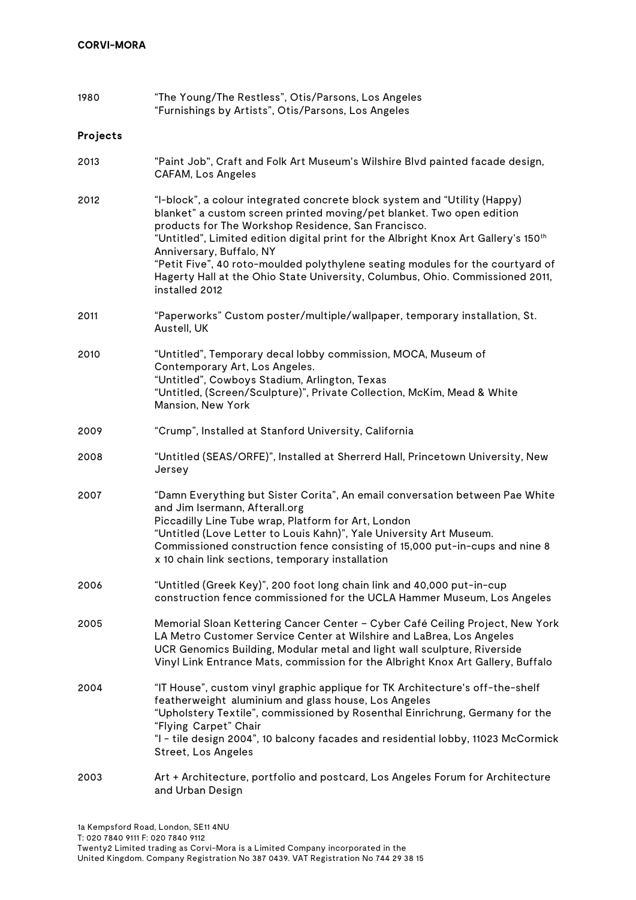| 1980     | "The Young/The Restless", Otis/Parsons, Los Angeles<br>"Furnishings by Artists", Otis/Parsons, Los Angeles                                                                                                                                                                                                                                                                                                                                                                                                                    |
|----------|-------------------------------------------------------------------------------------------------------------------------------------------------------------------------------------------------------------------------------------------------------------------------------------------------------------------------------------------------------------------------------------------------------------------------------------------------------------------------------------------------------------------------------|
| Projects |                                                                                                                                                                                                                                                                                                                                                                                                                                                                                                                               |
| 2013     | "Paint Job", Craft and Folk Art Museum's Wilshire Blvd painted facade design,<br><b>CAFAM, Los Angeles</b>                                                                                                                                                                                                                                                                                                                                                                                                                    |
| 2012     | "I-block", a colour integrated concrete block system and "Utility (Happy)<br>blanket" a custom screen printed moving/pet blanket. Two open edition<br>products for The Workshop Residence, San Francisco.<br>"Untitled", Limited edition digital print for the Albright Knox Art Gallery's 150 <sup>th</sup><br>Anniversary, Buffalo, NY<br>"Petit Five", 40 roto-moulded polythylene seating modules for the courtyard of<br>Hagerty Hall at the Ohio State University, Columbus, Ohio. Commissioned 2011,<br>installed 2012 |
| 2011     | "Paperworks" Custom poster/multiple/wallpaper, temporary installation, St.<br>Austell, UK                                                                                                                                                                                                                                                                                                                                                                                                                                     |
| 2010     | "Untitled", Temporary decal lobby commission, MOCA, Museum of<br>Contemporary Art, Los Angeles.<br>"Untitled", Cowboys Stadium, Arlington, Texas<br>"Untitled, (Screen/Sculpture)", Private Collection, McKim, Mead & White<br>Mansion, New York                                                                                                                                                                                                                                                                              |
| 2009     | "Crump", Installed at Stanford University, California                                                                                                                                                                                                                                                                                                                                                                                                                                                                         |
| 2008     | "Untitled (SEAS/ORFE)", Installed at Sherrerd Hall, Princetown University, New<br>Jersey                                                                                                                                                                                                                                                                                                                                                                                                                                      |
| 2007     | "Damn Everything but Sister Corita", An email conversation between Pae White<br>and Jim Isermann, Afterall.org<br>Piccadilly Line Tube wrap, Platform for Art, London<br>"Untitled (Love Letter to Louis Kahn)", Yale University Art Museum.<br>Commissioned construction fence consisting of 15,000 put-in-cups and nine 8<br>x 10 chain link sections, temporary installation                                                                                                                                               |
| 2006     | "Untitled (Greek Key)", 200 foot long chain link and 40,000 put-in-cup<br>construction fence commissioned for the UCLA Hammer Museum, Los Angeles                                                                                                                                                                                                                                                                                                                                                                             |
| 2005     | Memorial Sloan Kettering Cancer Center - Cyber Café Ceiling Project, New York<br>LA Metro Customer Service Center at Wilshire and LaBrea, Los Angeles<br>UCR Genomics Building, Modular metal and light wall sculpture, Riverside<br>Vinyl Link Entrance Mats, commission for the Albright Knox Art Gallery, Buffalo                                                                                                                                                                                                          |
| 2004     | "IT House", custom vinyl graphic applique for TK Architecture's off-the-shelf<br>featherweight aluminium and glass house, Los Angeles<br>"Upholstery Textile", commissioned by Rosenthal Einrichrung, Germany for the<br>"Flying Carpet" Chair<br>"I - tile design 2004", 10 balcony facades and residential lobby, 11023 McCormick<br><b>Street, Los Angeles</b>                                                                                                                                                             |
| 2003     | Art + Architecture, portfolio and postcard, Los Angeles Forum for Architecture<br>and Urban Design                                                                                                                                                                                                                                                                                                                                                                                                                            |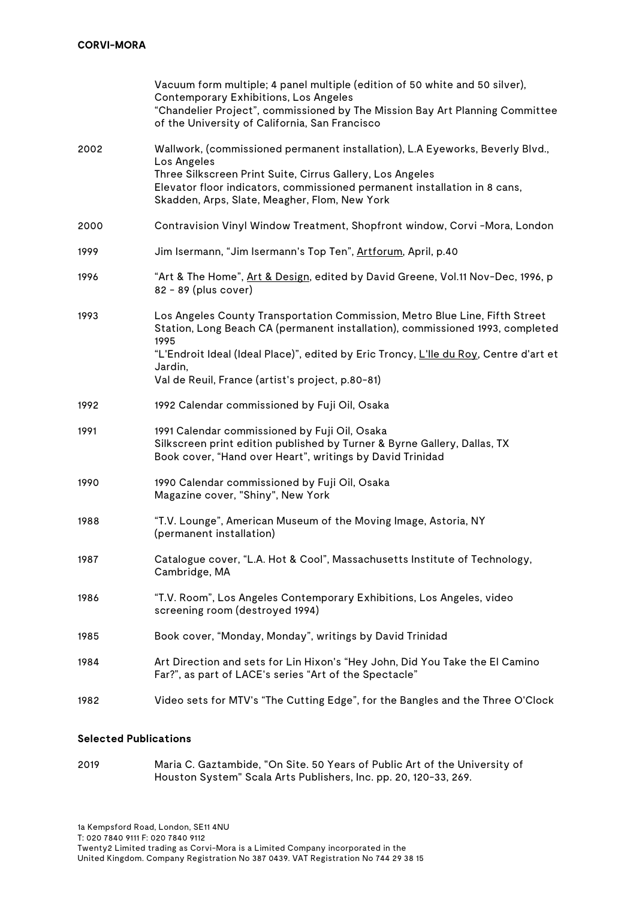|      | Vacuum form multiple; 4 panel multiple (edition of 50 white and 50 silver),<br>Contemporary Exhibitions, Los Angeles<br>"Chandelier Project", commissioned by The Mission Bay Art Planning Committee<br>of the University of California, San Francisco                                  |
|------|-----------------------------------------------------------------------------------------------------------------------------------------------------------------------------------------------------------------------------------------------------------------------------------------|
| 2002 | Wallwork, (commissioned permanent installation), L.A Eyeworks, Beverly Blvd.,<br>Los Angeles<br>Three Silkscreen Print Suite, Cirrus Gallery, Los Angeles<br>Elevator floor indicators, commissioned permanent installation in 8 cans,<br>Skadden, Arps, Slate, Meagher, Flom, New York |
| 2000 | Contravision Vinyl Window Treatment, Shopfront window, Corvi -Mora, London                                                                                                                                                                                                              |
| 1999 | Jim Isermann, "Jim Isermann's Top Ten", Artforum, April, p.40                                                                                                                                                                                                                           |
| 1996 | "Art & The Home", Art & Design, edited by David Greene, Vol.11 Nov-Dec, 1996, p<br>82 - 89 (plus cover)                                                                                                                                                                                 |
| 1993 | Los Angeles County Transportation Commission, Metro Blue Line, Fifth Street<br>Station, Long Beach CA (permanent installation), commissioned 1993, completed<br>1995                                                                                                                    |
|      | "L'Endroit Ideal (Ideal Place)", edited by Eric Troncy, L'lle du Roy, Centre d'art et<br>Jardin,                                                                                                                                                                                        |
|      | Val de Reuil, France (artist's project, p.80-81)                                                                                                                                                                                                                                        |
| 1992 | 1992 Calendar commissioned by Fuji Oil, Osaka                                                                                                                                                                                                                                           |
| 1991 | 1991 Calendar commissioned by Fuji Oil, Osaka<br>Silkscreen print edition published by Turner & Byrne Gallery, Dallas, TX<br>Book cover, "Hand over Heart", writings by David Trinidad                                                                                                  |
| 1990 | 1990 Calendar commissioned by Fuji Oil, Osaka<br>Magazine cover, "Shiny", New York                                                                                                                                                                                                      |
| 1988 | "T.V. Lounge", American Museum of the Moving Image, Astoria, NY<br>(permanent installation)                                                                                                                                                                                             |
| 1987 | Catalogue cover, "L.A. Hot & Cool", Massachusetts Institute of Technology,<br>Cambridge, MA                                                                                                                                                                                             |
| 1986 | "T.V. Room", Los Angeles Contemporary Exhibitions, Los Angeles, video<br>screening room (destroyed 1994)                                                                                                                                                                                |
| 1985 | Book cover, "Monday, Monday", writings by David Trinidad                                                                                                                                                                                                                                |
| 1984 | Art Direction and sets for Lin Hixon's "Hey John, Did You Take the El Camino<br>Far?", as part of LACE's series "Art of the Spectacle"                                                                                                                                                  |
| 1982 | Video sets for MTV's "The Cutting Edge", for the Bangles and the Three O'Clock                                                                                                                                                                                                          |
|      |                                                                                                                                                                                                                                                                                         |

### **Selected Publications**

2019 Maria C. Gaztambide, "On Site. 50 Years of Public Art of the University of Houston System" Scala Arts Publishers, Inc. pp. 20, 120-33, 269.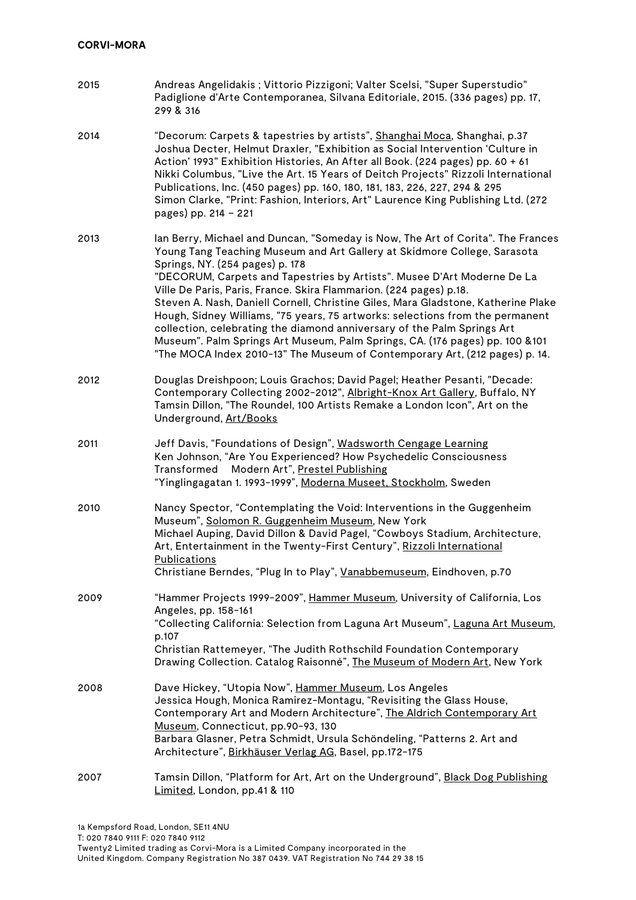| 2015 | Andreas Angelidakis ; Vittorio Pizzigoni; Valter Scelsi, "Super Superstudio"<br>Padiglione d'Arte Contemporanea, Silvana Editoriale, 2015. (336 pages) pp. 17,<br>299 & 316                                                                                                                                                                                                                                                                                                                                                                                                                                                                                                                                                                                     |
|------|-----------------------------------------------------------------------------------------------------------------------------------------------------------------------------------------------------------------------------------------------------------------------------------------------------------------------------------------------------------------------------------------------------------------------------------------------------------------------------------------------------------------------------------------------------------------------------------------------------------------------------------------------------------------------------------------------------------------------------------------------------------------|
| 2014 | "Decorum: Carpets & tapestries by artists", Shanghai Moca, Shanghai, p.37<br>Joshua Decter, Helmut Draxler, "Exhibition as Social Intervention 'Culture in<br>Action' 1993" Exhibition Histories, An After all Book. (224 pages) pp. 60 + 61<br>Nikki Columbus, "Live the Art. 15 Years of Deitch Projects" Rizzoli International<br>Publications, Inc. (450 pages) pp. 160, 180, 181, 183, 226, 227, 294 & 295<br>Simon Clarke, "Print: Fashion, Interiors, Art" Laurence King Publishing Ltd. (272<br>pages) pp. 214 - 221                                                                                                                                                                                                                                    |
| 2013 | lan Berry, Michael and Duncan, "Someday is Now, The Art of Corita". The Frances<br>Young Tang Teaching Museum and Art Gallery at Skidmore College, Sarasota<br>Springs, NY. (254 pages) p. 178<br>"DECORUM, Carpets and Tapestries by Artists". Musee D'Art Moderne De La<br>Ville De Paris, Paris, France. Skira Flammarion. (224 pages) p.18.<br>Steven A. Nash, Daniell Cornell, Christine Giles, Mara Gladstone, Katherine Plake<br>Hough, Sidney Williams, "75 years, 75 artworks: selections from the permanent<br>collection, celebrating the diamond anniversary of the Palm Springs Art<br>Museum". Palm Springs Art Museum, Palm Springs, CA. (176 pages) pp. 100 &101<br>"The MOCA Index 2010-13" The Museum of Contemporary Art, (212 pages) p. 14. |
| 2012 | Douglas Dreishpoon; Louis Grachos; David Pagel; Heather Pesanti, "Decade:<br>Contemporary Collecting 2002-2012", Albright-Knox Art Gallery, Buffalo, NY<br>Tamsin Dillon, "The Roundel, 100 Artists Remake a London Icon", Art on the<br>Underground, Art/Books                                                                                                                                                                                                                                                                                                                                                                                                                                                                                                 |
| 2011 | Jeff Davis, "Foundations of Design", Wadsworth Cengage Learning<br>Ken Johnson, "Are You Experienced? How Psychedelic Consciousness<br>Modern Art", Prestel Publishing<br>Transformed<br>"Yinglingagatan 1. 1993-1999", Moderna Museet, Stockholm, Sweden                                                                                                                                                                                                                                                                                                                                                                                                                                                                                                       |
| 2010 | Nancy Spector, "Contemplating the Void: Interventions in the Guggenheim<br>Museum", Solomon R. Guggenheim Museum, New York<br>Michael Auping, David Dillon & David Pagel, "Cowboys Stadium, Architecture,<br>Art, Entertainment in the Twenty-First Century", Rizzoli International<br><b>Publications</b><br>Christiane Berndes, "Plug In to Play", Vanabbemuseum, Eindhoven, p.70                                                                                                                                                                                                                                                                                                                                                                             |
| 2009 | "Hammer Projects 1999-2009", Hammer Museum, University of California, Los<br>Angeles, pp. 158-161<br>"Collecting California: Selection from Laguna Art Museum", Laguna Art Museum,<br>p.107<br>Christian Rattemeyer, "The Judith Rothschild Foundation Contemporary<br>Drawing Collection. Catalog Raisonné", The Museum of Modern Art, New York                                                                                                                                                                                                                                                                                                                                                                                                                |
| 2008 | Dave Hickey, "Utopia Now", Hammer Museum, Los Angeles<br>Jessica Hough, Monica Ramirez-Montagu, "Revisiting the Glass House,<br>Contemporary Art and Modern Architecture", The Aldrich Contemporary Art<br>Museum, Connecticut, pp.90-93, 130<br>Barbara Glasner, Petra Schmidt, Ursula Schöndeling, "Patterns 2. Art and<br>Architecture", Birkhäuser Verlag AG, Basel, pp.172-175                                                                                                                                                                                                                                                                                                                                                                             |
| 2007 | Tamsin Dillon, "Platform for Art, Art on the Underground", Black Dog Publishing<br>Limited, London, pp.41 & 110                                                                                                                                                                                                                                                                                                                                                                                                                                                                                                                                                                                                                                                 |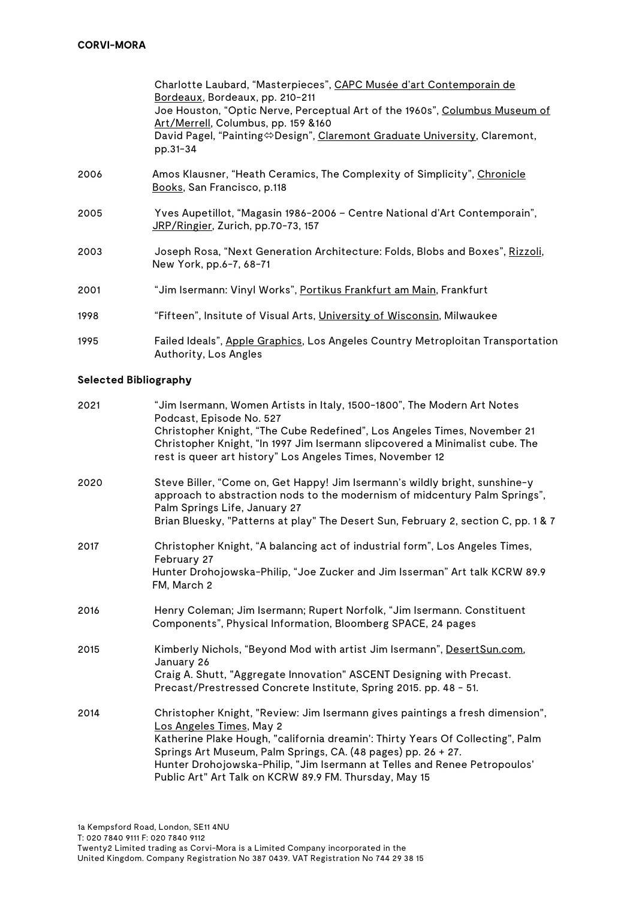|      | Charlotte Laubard, "Masterpieces", CAPC Musée d'art Contemporain de<br>Bordeaux, Bordeaux, pp. 210-211<br>Joe Houston, "Optic Nerve, Perceptual Art of the 1960s", Columbus Museum of<br>Art/Merrell, Columbus, pp. 159 & 160<br>David Pagel, "Painting⇔Design", Claremont Graduate University, Claremont,<br>pp.31-34 |
|------|------------------------------------------------------------------------------------------------------------------------------------------------------------------------------------------------------------------------------------------------------------------------------------------------------------------------|
| 2006 | Amos Klausner, "Heath Ceramics, The Complexity of Simplicity", Chronicle<br>Books, San Francisco, p.118                                                                                                                                                                                                                |
| 2005 | Yves Aupetillot, "Magasin 1986-2006 – Centre National d'Art Contemporain",<br>JRP/Ringier, Zurich, pp.70-73, 157                                                                                                                                                                                                       |
| 2003 | Joseph Rosa, "Next Generation Architecture: Folds, Blobs and Boxes", Rizzoli,<br>New York, pp.6-7, 68-71                                                                                                                                                                                                               |
| 2001 | "Jim Isermann: Vinyl Works", <u>Portikus Frankfurt am Main</u> , Frankfurt                                                                                                                                                                                                                                             |
| 1998 | "Fifteen", Insitute of Visual Arts, <u>University of Wisconsin</u> , Milwaukee                                                                                                                                                                                                                                         |
| 1995 | Failed Ideals", Apple Graphics, Los Angeles Country Metroploitan Transportation<br>Authority, Los Angles                                                                                                                                                                                                               |

### **Selected Bibliography**

| 2021 | "Jim Isermann, Women Artists in Italy, 1500-1800", The Modern Art Notes<br>Podcast, Episode No. 527                                                                                                                   |
|------|-----------------------------------------------------------------------------------------------------------------------------------------------------------------------------------------------------------------------|
|      | Christopher Knight, "The Cube Redefined", Los Angeles Times, November 21<br>Christopher Knight, "In 1997 Jim Isermann slipcovered a Minimalist cube. The<br>rest is queer art history" Los Angeles Times, November 12 |
| 2020 | Steve Biller, "Come on, Get Happy! Jim Isermann's wildly bright, sunshine-y<br>approach to abstraction nods to the modernism of midcentury Palm Springs",<br>Palm Springs Life, January 27                            |
|      | Brian Bluesky, "Patterns at play" The Desert Sun, February 2, section C, pp. 1 & 7                                                                                                                                    |
| 2017 | Christopher Knight, "A balancing act of industrial form", Los Angeles Times,<br>February 27                                                                                                                           |
|      | Hunter Drohojowska-Philip, "Joe Zucker and Jim Isserman" Art talk KCRW 89.9<br>FM, March 2                                                                                                                            |
| 2016 | Henry Coleman; Jim Isermann; Rupert Norfolk, "Jim Isermann. Constituent<br>Components", Physical Information, Bloomberg SPACE, 24 pages                                                                               |
| 2015 | Kimberly Nichols, "Beyond Mod with artist Jim Isermann", DesertSun.com,<br>January 26                                                                                                                                 |
|      | Craig A. Shutt, "Aggregate Innovation" ASCENT Designing with Precast.<br>Precast/Prestressed Concrete Institute, Spring 2015. pp. 48 - 51.                                                                            |
| 2014 | Christopher Knight, "Review: Jim Isermann gives paintings a fresh dimension",<br>Los Angeles Times, May 2                                                                                                             |
|      | Katherine Plake Hough, "california dreamin': Thirty Years Of Collecting", Palm                                                                                                                                        |
|      | Springs Art Museum, Palm Springs, CA. (48 pages) pp. 26 + 27.<br>Hunter Drohojowska-Philip, "Jim Isermann at Telles and Renee Petropoulos'<br>Public Art" Art Talk on KCRW 89.9 FM. Thursday, May 15                  |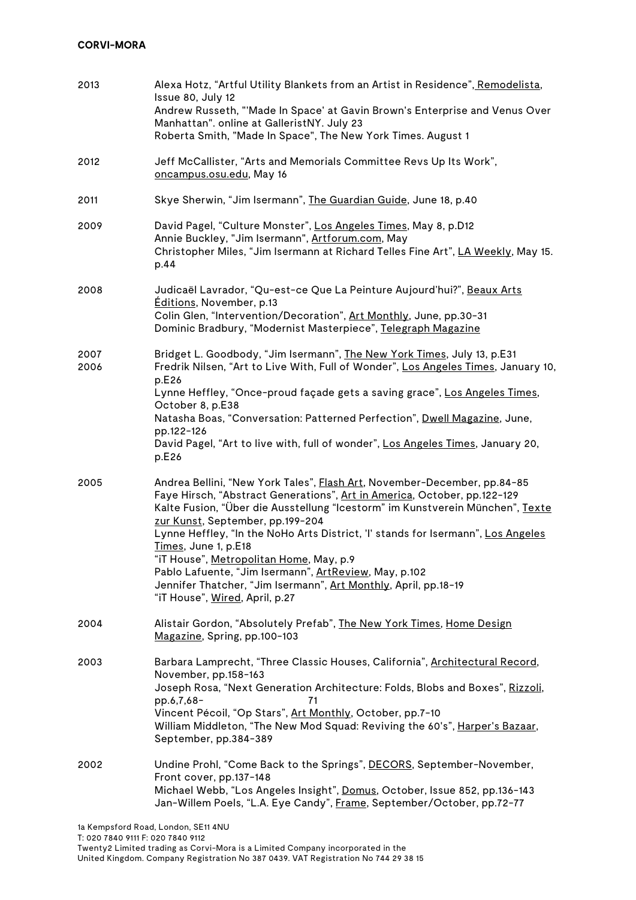# **CORVI-MORA**

| 2013         | Alexa Hotz, "Artful Utility Blankets from an Artist in Residence", Remodelista,<br>Issue 80, July 12<br>Andrew Russeth, "'Made In Space' at Gavin Brown's Enterprise and Venus Over<br>Manhattan". online at GalleristNY. July 23<br>Roberta Smith, "Made In Space", The New York Times. August 1                                                                                                                                                                                                                                                                                              |
|--------------|------------------------------------------------------------------------------------------------------------------------------------------------------------------------------------------------------------------------------------------------------------------------------------------------------------------------------------------------------------------------------------------------------------------------------------------------------------------------------------------------------------------------------------------------------------------------------------------------|
| 2012         | Jeff McCallister, "Arts and Memorials Committee Revs Up Its Work",<br>oncampus.osu.edu, May 16                                                                                                                                                                                                                                                                                                                                                                                                                                                                                                 |
| 2011         | Skye Sherwin, "Jim Isermann", The Guardian Guide, June 18, p.40                                                                                                                                                                                                                                                                                                                                                                                                                                                                                                                                |
| 2009         | David Pagel, "Culture Monster", Los Angeles Times, May 8, p.D12<br>Annie Buckley, "Jim Isermann", Artforum.com, May<br>Christopher Miles, "Jim Isermann at Richard Telles Fine Art", LA Weekly, May 15.<br>p.44                                                                                                                                                                                                                                                                                                                                                                                |
| 2008         | Judicaël Lavrador, "Qu-est-ce Que La Peinture Aujourd'hui?", Beaux Arts<br>Éditions, November, p.13<br>Colin Glen, "Intervention/Decoration", Art Monthly, June, pp.30-31<br>Dominic Bradbury, "Modernist Masterpiece", Telegraph Magazine                                                                                                                                                                                                                                                                                                                                                     |
| 2007<br>2006 | Bridget L. Goodbody, "Jim Isermann", The New York Times, July 13, p.E31<br>Fredrik Nilsen, "Art to Live With, Full of Wonder", Los Angeles Times, January 10,<br>p.E26<br>Lynne Heffley, "Once-proud façade gets a saving grace", Los Angeles Times,<br>October 8, p.E38<br>Natasha Boas, "Conversation: Patterned Perfection", Dwell Magazine, June,<br>pp.122-126<br>David Pagel, "Art to live with, full of wonder", Los Angeles Times, January 20,<br>p.E26                                                                                                                                |
| 2005         | Andrea Bellini, "New York Tales", Flash Art, November-December, pp.84-85<br>Faye Hirsch, "Abstract Generations", Art in America, October, pp.122-129<br>Kalte Fusion, "Über die Ausstellung "Icestorm" im Kunstverein München", Texte<br>zur Kunst, September, pp.199-204<br>Lynne Heffley, "In the NoHo Arts District, 'I' stands for Isermann", Los Angeles<br>Times, June 1, p.E18<br>"iT House", Metropolitan Home, May, p.9<br>Pablo Lafuente, "Jim Isermann", ArtReview, May, p.102<br>Jennifer Thatcher, "Jim Isermann", Art Monthly, April, pp.18-19<br>"iT House", Wired, April, p.27 |
| 2004         | Alistair Gordon, "Absolutely Prefab", The New York Times, Home Design<br>Magazine, Spring, pp.100-103                                                                                                                                                                                                                                                                                                                                                                                                                                                                                          |
| 2003         | Barbara Lamprecht, "Three Classic Houses, California", Architectural Record,<br>November, pp.158-163<br>Joseph Rosa, "Next Generation Architecture: Folds, Blobs and Boxes", Rizzoli,<br>pp.6,7,68-<br>71<br>Vincent Pécoil, "Op Stars", Art Monthly, October, pp.7-10<br>William Middleton, "The New Mod Squad: Reviving the 60's", Harper's Bazaar,<br>September, pp.384-389                                                                                                                                                                                                                 |
| 2002         | Undine Prohl, "Come Back to the Springs", DECORS, September-November,<br>Front cover, pp.137-148<br>Michael Webb, "Los Angeles Insight", Domus, October, Issue 852, pp.136-143<br>Jan-Willem Poels, "L.A. Eye Candy", Frame, September/October, pp.72-77                                                                                                                                                                                                                                                                                                                                       |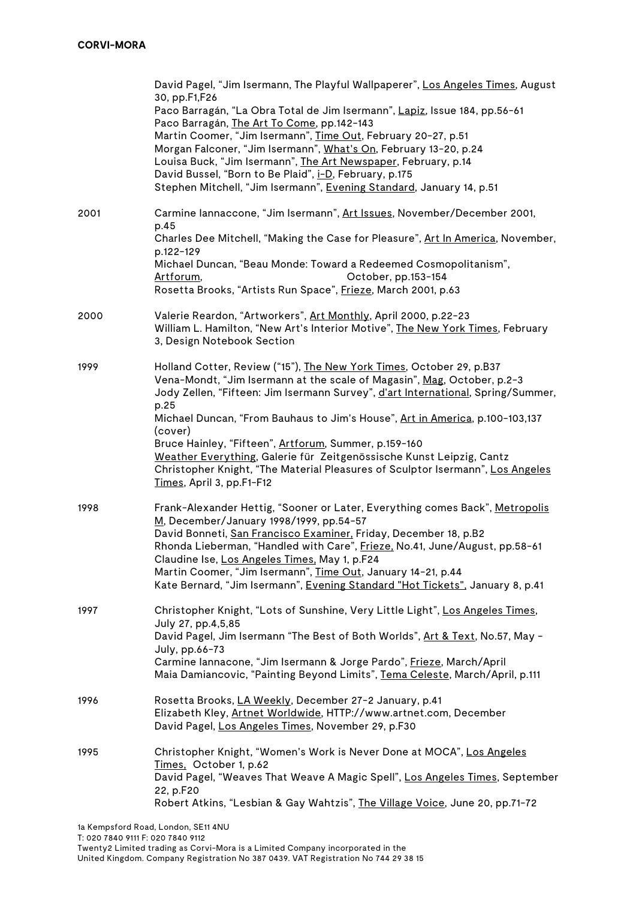|      | David Pagel, "Jim Isermann, The Playful Wallpaperer", Los Angeles Times, August<br>30, pp.F1,F26<br>Paco Barragán, "La Obra Total de Jim Isermann", Lapiz, Issue 184, pp.56-61<br>Paco Barragán, The Art To Come, pp.142-143<br>Martin Coomer, "Jim Isermann", Time Out, February 20-27, p.51<br>Morgan Falconer, "Jim Isermann", What's On, February 13-20, p.24<br>Louisa Buck, "Jim Isermann", The Art Newspaper, February, p.14<br>David Bussel, "Born to Be Plaid", i-D, February, p.175<br>Stephen Mitchell, "Jim Isermann", Evening Standard, January 14, p.51                  |
|------|----------------------------------------------------------------------------------------------------------------------------------------------------------------------------------------------------------------------------------------------------------------------------------------------------------------------------------------------------------------------------------------------------------------------------------------------------------------------------------------------------------------------------------------------------------------------------------------|
| 2001 | Carmine lannaccone, "Jim Isermann", Art Issues, November/December 2001,<br>p.45<br>Charles Dee Mitchell, "Making the Case for Pleasure", Art In America, November,<br>p.122-129<br>Michael Duncan, "Beau Monde: Toward a Redeemed Cosmopolitanism",<br>October, pp.153-154<br>Artforum,<br>Rosetta Brooks, "Artists Run Space", Frieze, March 2001, p.63                                                                                                                                                                                                                               |
| 2000 | Valerie Reardon, "Artworkers", Art Monthly, April 2000, p.22-23<br>William L. Hamilton, "New Art's Interior Motive", The New York Times, February<br>3, Design Notebook Section                                                                                                                                                                                                                                                                                                                                                                                                        |
| 1999 | Holland Cotter, Review ("15"), The New York Times, October 29, p.B37<br>Vena-Mondt, "Jim Isermann at the scale of Magasin", Mag, October, p.2-3<br>Jody Zellen, "Fifteen: Jim Isermann Survey", d'art International, Spring/Summer,<br>p.25<br>Michael Duncan, "From Bauhaus to Jim's House", Art in America, p.100-103,137<br>(cover)<br>Bruce Hainley, "Fifteen", Artforum, Summer, p.159-160<br>Weather Everything, Galerie für Zeitgenössische Kunst Leipzig, Cantz<br>Christopher Knight, "The Material Pleasures of Sculptor Isermann", Los Angeles<br>Times, April 3, pp.F1-F12 |
| 1998 | Frank-Alexander Hettig, "Sooner or Later, Everything comes Back", Metropolis<br>M, December/January 1998/1999, pp.54-57<br>David Bonneti, San Francisco Examiner, Friday, December 18, p.B2<br>Rhonda Lieberman, "Handled with Care", Frieze, No.41, June/August, pp.58-61<br>Claudine Ise, Los Angeles Times, May 1, p.F24<br>Martin Coomer, "Jim Isermann", Time Out, January 14-21, p.44<br>Kate Bernard, "Jim Isermann", Evening Standard "Hot Tickets", January 8, p.41                                                                                                           |
| 1997 | Christopher Knight, "Lots of Sunshine, Very Little Light", Los Angeles Times,<br>July 27, pp.4,5,85<br>David Pagel, Jim Isermann "The Best of Both Worlds", Art & Text, No.57, May -<br>July, pp.66-73<br>Carmine lannacone, "Jim Isermann & Jorge Pardo", Frieze, March/April<br>Maia Damiancovic, "Painting Beyond Limits", Tema Celeste, March/April, p.111                                                                                                                                                                                                                         |
| 1996 | Rosetta Brooks, LA Weekly, December 27-2 January, p.41<br>Elizabeth Kley, Artnet Worldwide, HTTP://www.artnet.com, December<br>David Pagel, Los Angeles Times, November 29, p.F30                                                                                                                                                                                                                                                                                                                                                                                                      |
| 1995 | Christopher Knight, "Women's Work is Never Done at MOCA", Los Angeles<br>Times, October 1, p.62<br>David Pagel, "Weaves That Weave A Magic Spell", Los Angeles Times, September<br>22, p.F20<br>Robert Atkins, "Lesbian & Gay Wahtzis", The Village Voice, June 20, pp.71-72                                                                                                                                                                                                                                                                                                           |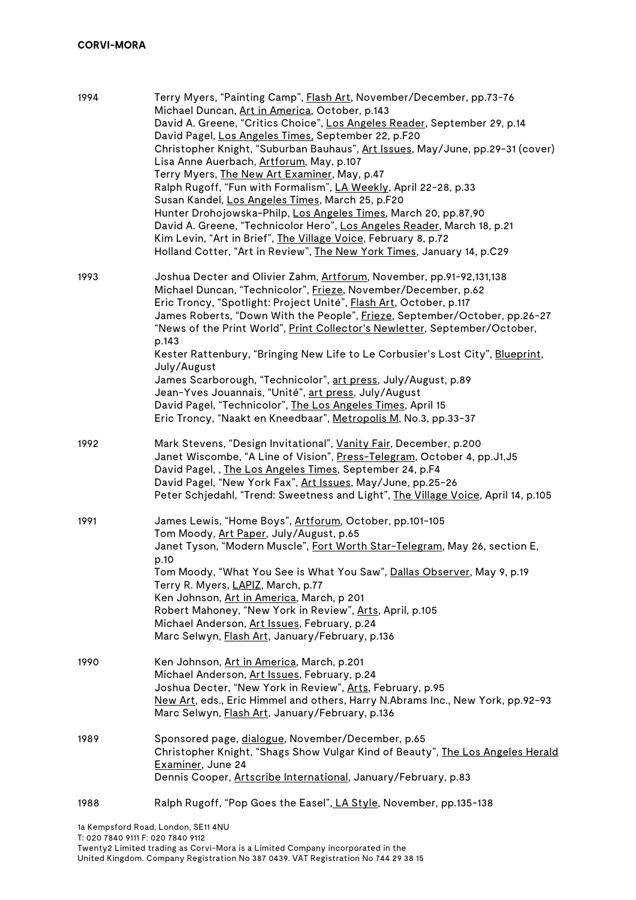| 1994 | Terry Myers, "Painting Camp", Flash Art, November/December, pp.73-76<br>Michael Duncan, Art in America, October, p.143<br>David A. Greene, "Critics Choice", Los Angeles Reader, September 29, p.14<br>David Pagel, Los Angeles Times. September 22, p.F20<br>Christopher Knight, "Suburban Bauhaus", Art Issues, May/June, pp.29-31 (cover)<br>Lisa Anne Auerbach, Artforum, May, p.107<br>Terry Myers, The New Art Examiner, May, p.47<br>Ralph Rugoff, "Fun with Formalism", LA Weekly, April 22-28, p.33<br>Susan Kandel, Los Angeles Times, March 25, p.F20<br>Hunter Drohojowska-Philp, Los Angeles Times, March 20, pp.87,90<br>David A. Greene, "Technicolor Hero", Los Angeles Reader, March 18, p.21<br>Kim Levin, "Art in Brief", The Village Voice, February 8, p.72<br>Holland Cotter, "Art in Review", The New York Times, January 14, p.C29 |
|------|------------------------------------------------------------------------------------------------------------------------------------------------------------------------------------------------------------------------------------------------------------------------------------------------------------------------------------------------------------------------------------------------------------------------------------------------------------------------------------------------------------------------------------------------------------------------------------------------------------------------------------------------------------------------------------------------------------------------------------------------------------------------------------------------------------------------------------------------------------|
| 1993 | Joshua Decter and Olivier Zahm, Artforum, November, pp.91-92,131,138<br>Michael Duncan, "Technicolor", Frieze, November/December, p.62<br>Eric Troncy, "Spotlight: Project Unité", Flash Art, October, p.117<br>James Roberts, "Down With the People", Frieze, September/October, pp.26-27<br>"News of the Print World", Print Collector's Newletter, September/October,<br>p.143<br>Kester Rattenbury, "Bringing New Life to Le Corbusier's Lost City", Blueprint,<br>July/August<br>James Scarborough, "Technicolor", art press, July/August, p.89<br>Jean-Yves Jouannais, "Unité", art press, July/August<br>David Pagel, "Technicolor", The Los Angeles Times, April 15<br>Eric Troncy, "Naakt en Kneedbaar", Metropolis M, No.3, pp.33-37                                                                                                             |
| 1992 | Mark Stevens, "Design Invitational", Vanity Fair, December, p.200<br>Janet Wiscombe, "A Line of Vision", Press-Telegram, October 4, pp.J1, J5<br>David Pagel,, The Los Angeles Times, September 24, p.F4<br>David Pagel, "New York Fax", Art Issues, May/June, pp.25-26<br>Peter Schjedahl, "Trend: Sweetness and Light", The Village Voice, April 14, p.105                                                                                                                                                                                                                                                                                                                                                                                                                                                                                               |
| 1991 | James Lewis, "Home Boys", Artforum, October, pp.101-105<br>Tom Moody, Art Paper, July/August, p.65<br>Janet Tyson, "Modern Muscle", Fort Worth Star-Telegram, May 26, section E,<br>p.10<br>Tom Moody, "What You See is What You Saw", Dallas Observer, May 9, p.19<br>Terry R. Myers, LAPIZ, March, p.77<br>Ken Johnson, Art in America, March, p 201<br>Robert Mahoney, "New York in Review", Arts, April, p.105<br>Michael Anderson, Art Issues, February, p.24<br>Marc Selwyn, Flash Art, January/February, p.136                                                                                                                                                                                                                                                                                                                                      |
| 1990 | Ken Johnson, Art in America, March, p.201<br>Michael Anderson, Art Issues, February, p.24<br>Joshua Decter, "New York in Review", Arts, February, p.95<br>New Art, eds., Eric Himmel and others, Harry N.Abrams Inc., New York, pp.92-93<br>Marc Selwyn, Flash Art, January/February, p.136                                                                                                                                                                                                                                                                                                                                                                                                                                                                                                                                                                |
| 1989 | Sponsored page, dialogue, November/December, p.65<br>Christopher Knight, "Shags Show Vulgar Kind of Beauty", The Los Angeles Herald<br>Examiner, June 24<br>Dennis Cooper, Artscribe International, January/February, p.83                                                                                                                                                                                                                                                                                                                                                                                                                                                                                                                                                                                                                                 |
| 1988 | Ralph Rugoff, "Pop Goes the Easel", LA Style, November, pp.135-138                                                                                                                                                                                                                                                                                                                                                                                                                                                                                                                                                                                                                                                                                                                                                                                         |